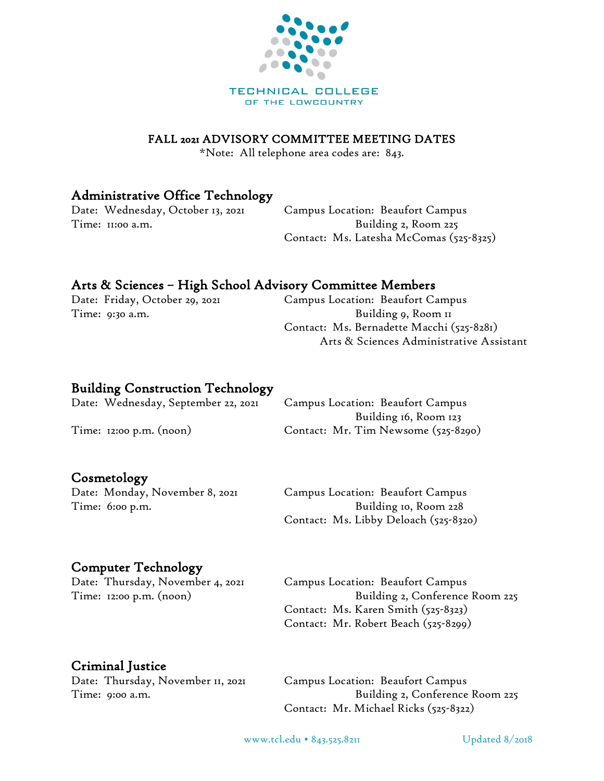

#### FALL 2021 ADVISORY COMMITTEE MEETING DATES

\*Note: All telephone area codes are: 843.

### Administrative Office Technology

Time: 11:00 a.m. Sample 2, Room 225

Date: Wednesday, October 13, 2021 Campus Location: Beaufort Campus Contact: Ms. Latesha McComas (525-8325)

## Arts & Sciences – High School Advisory Committee Members

Date: Friday, October 29, 2021 Campus Location: Beaufort Campus Time: 9:30 a.m. South American State of Building 9, Room 11 Contact: Ms. Bernadette Macchi (525-8281) Arts & Sciences Administrative Assistant

#### Building Construction Technology

Date: Wednesday, September 22, 2021 Campus Location: Beaufort Campus Building 16, Room 123 Time: 12:00 p.m. (noon) Contact: Mr. Tim Newsome (525-8290)

#### Cosmetology

Time: 6:00 p.m.

Date: Monday, November 8, 2021 Campus Location: Beaufort Campus

Contact: Ms. Libby Deloach (525-8320)

#### Computer Technology

Date: Thursday, November 4, 2021 Campus Location: Beaufort Campus

Time: 12:00 p.m. (noon) Time: 12:00 p.m. (noon) Contact: Ms. Karen Smith (525-8323) Contact: Mr. Robert Beach (525-8299)

#### Criminal Justice

Date: Thursday, November II, 2021 Campus Location: Beaufort Campus

Time: 9:00 a.m. Contact: Mr. Michael Ricks (525-8322)

www.tcl.edu • 843.525.8211 Updated 8/2018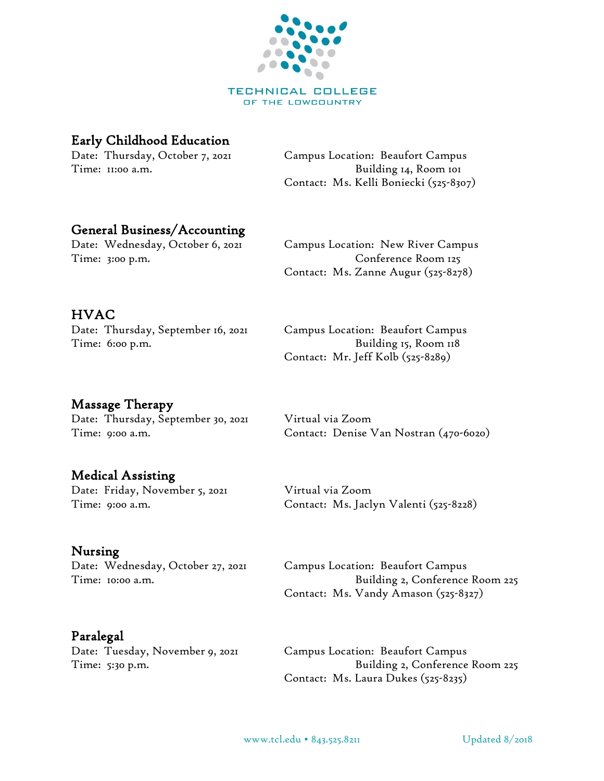

TECHNICAL COLLEGE OF THE LOWCOUNTRY

# Early Childhood Education

Date: Thursday, October 7, 2021 Campus Location: Beaufort Campus Time: 11:00 a.m. Solution of the Solution of Building 14, Room 101 Contact: Ms. Kelli Boniecki (525-8307)

## General Business/Accounting

Date: Wednesday, October 6, 2021 Campus Location: New River Campus Time: 3:00 p.m. Conference Room 125

# HVAC

Date: Thursday, September 16, 2021 Campus Location: Beaufort Campus Time: 6:00 p.m. Solution of the Building 15, Room 118 Contact: Mr. Jeff Kolb (525-8289)

Contact: Ms. Zanne Augur (525-8278)

# Massage Therapy

Date: Thursday, September 30, 2021 Virtual via Zoom

# Medical Assisting

Date: Friday, November 5, 2021 Virtual via Zoom

Nursing<br>Date: Wednesday, October 27, 2021

## Paralegal

Time: 9:00 a.m. Contact: Denise Van Nostran (470-6020)

Time: 9:00 a.m. Contact: Ms. Jaclyn Valenti (525-8228)

Campus Location: Beaufort Campus Time: 10:00 a.m. Building 2, Conference Room 225 Contact: Ms. Vandy Amason (525-8327)

Date: Tuesday, November 9, 2021 Campus Location: Beaufort Campus Time: 5:30 p.m. Building 2, Conference Room 225 Contact: Ms. Laura Dukes (525-8235)